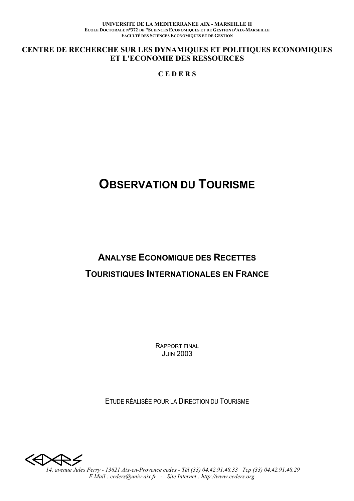UNIVERSITE DE LA MEDITERRANEE AIX - MARSEILLE II ECOLE DOCTORALE N°372 DE "SCIENCES ECONOMIQUES ET DE GESTION D'AIX-MARSEILLE **FACULTÉ DES SCIENCES ECONOMIQUES ET DE GESTION** 

CENTRE DE RECHERCHE SUR LES DYNAMIQUES ET POLITIQUES ECONOMIQUES ET L'ECONOMIE DES RESSOURCES

**CEDERS** 

# **OBSERVATION DU TOURISME**

# **ANALYSE ECONOMIQUE DES RECETTES TOURISTIQUES INTERNATIONALES EN FRANCE**

**RAPPORT FINAL JUIN 2003** 

FTUDE RÉALISÉE POUR LA DIRECTION DU TOURISME

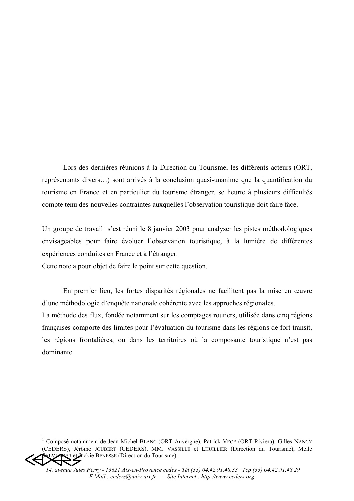Lors des dernières réunions à la Direction du Tourisme, les différents acteurs (ORT, représentants divers...) sont arrivés à la conclusion quasi-unanime que la quantification du tourisme en France et en particulier du tourisme étranger, se heurte à plusieurs difficultés compte tenu des nouvelles contraintes auxquelles l'observation touristique doit faire face.

Un groupe de travail<sup>1</sup> s'est réuni le 8 janvier 2003 pour analyser les pistes méthodologiques envisageables pour faire évoluer l'observation touristique, à la lumière de différentes expériences conduites en France et à l'étranger.

Cette note a pour objet de faire le point sur cette question.

En premier lieu, les fortes disparités régionales ne facilitent pas la mise en œuvre d'une méthodologie d'enquête nationale cohérente avec les approches régionales.

La méthode des flux, fondée notamment sur les comptages routiers, utilisée dans cinq régions françaises comporte des limites pour l'évaluation du tourisme dans les régions de fort transit, les régions frontalières, ou dans les territoires où la composante touristique n'est pas dominante.

<sup>&</sup>lt;sup>1</sup> Composé notamment de Jean-Michel BLANC (ORT Auvergne), Patrick VECE (ORT Riviera), Gilles NANCY (CEDERS), Jérôme JOUBERT (CEDERS), MM. VASSILLE et LHUILLIER (Direction du Tourisme), Melle EXEMPLE CLACKE BENESSE (Direction du Tourisme).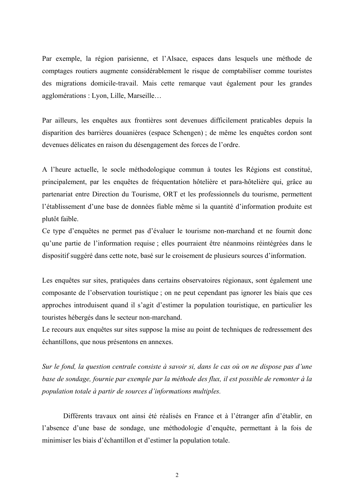Par exemple, la région parisienne, et l'Alsace, espaces dans lesquels une méthode de comptages routiers augmente considérablement le risque de comptabiliser comme touristes des migrations domicile-travail. Mais cette remarque vaut également pour les grandes agglomérations : Lyon, Lille, Marseille...

Par ailleurs, les enquêtes aux frontières sont devenues difficilement praticables depuis la disparition des barrières douanières (espace Schengen); de même les enquêtes cordon sont devenues délicates en raison du désengagement des forces de l'ordre.

A l'heure actuelle, le socle méthodologique commun à toutes les Régions est constitué, principalement, par les enquêtes de fréquentation hôtelière et para-hôtelière qui, grâce au partenariat entre Direction du Tourisme, ORT et les professionnels du tourisme, permettent l'établissement d'une base de données fiable même si la quantité d'information produite est plutôt faible.

Ce type d'enquêtes ne permet pas d'évaluer le tourisme non-marchand et ne fournit donc qu'une partie de l'information requise ; elles pourraient être néanmoins réintégrées dans le dispositif suggéré dans cette note, basé sur le croisement de plusieurs sources d'information.

Les enquêtes sur sites, pratiquées dans certains observatoires régionaux, sont également une composante de l'observation touristique ; on ne peut cependant pas ignorer les biais que ces approches introduisent quand il s'agit d'estimer la population touristique, en particulier les touristes hébergés dans le secteur non-marchand.

Le recours aux enquêtes sur sites suppose la mise au point de techniques de redressement des échantillons, que nous présentons en annexes.

Sur le fond, la question centrale consiste à savoir si, dans le cas où on ne dispose pas d'une base de sondage, fournie par exemple par la méthode des flux, il est possible de remonter à la population totale à partir de sources d'informations multiples.

Différents travaux ont ainsi été réalisés en France et à l'étranger afin d'établir, en l'absence d'une base de sondage, une méthodologie d'enquête, permettant à la fois de minimiser les biais d'échantillon et d'estimer la population totale.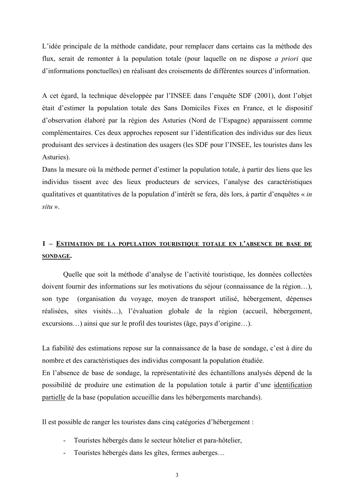L'idée principale de la méthode candidate, pour remplacer dans certains cas la méthode des flux, serait de remonter à la population totale (pour laquelle on ne dispose *a priori* que d'informations ponctuelles) en réalisant des croisements de différentes sources d'information.

A cet égard, la technique développée par l'INSEE dans l'enquête SDF (2001), dont l'objet était d'estimer la population totale des Sans Domiciles Fixes en France, et le dispositif d'observation élaboré par la région des Asturies (Nord de l'Espagne) apparaissent comme complémentaires. Ces deux approches reposent sur l'identification des individus sur des lieux produisant des services à destination des usagers (les SDF pour l'INSEE, les touristes dans les Asturies).

Dans la mesure où la méthode permet d'estimer la population totale, à partir des liens que les individus tissent avec des lieux producteurs de services, l'analyse des caractéristiques qualitatives et quantitatives de la population d'intérêt se fera, dès lors, à partir d'enquêtes « in  $situ$  ».

# 1 - ESTIMATION DE LA POPULATION TOURISTIQUE TOTALE EN L'ABSENCE DE BASE DE **SONDAGE.**

Quelle que soit la méthode d'analyse de l'activité touristique, les données collectées doivent fournir des informations sur les motivations du séjour (connaissance de la région...), son type (organisation du voyage, moyen de transport utilisé, hébergement, dépenses réalisées, sites visités...), l'évaluation globale de la région (accueil, hébergement, excursions...) ainsi que sur le profil des touristes (âge, pays d'origine...).

La fiabilité des estimations repose sur la connaissance de la base de sondage, c'est à dire du nombre et des caractéristiques des individus composant la population étudiée.

En l'absence de base de sondage, la représentativité des échantillons analysés dépend de la possibilité de produire une estimation de la population totale à partir d'une identification partielle de la base (population accueillie dans les hébergements marchands).

Il est possible de ranger les touristes dans cinq catégories d'hébergement :

- Touristes hébergés dans le secteur hôtelier et para-hôtelier,
- Touristes hébergés dans les gîtes, fermes auberges...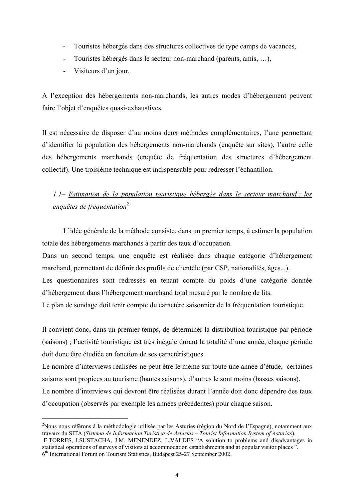- Touristes hébergés dans des structures collectives de type camps de vacances,
- Touristes hébergés dans le secteur non-marchand (parents, amis, ...),  $\mathbf{r}$
- Visiteurs d'un jour.

A l'exception des hébergements non-marchands, les autres modes d'hébergement peuvent faire l'obiet d'enquêtes quasi-exhaustives.

Il est nécessaire de disposer d'au moins deux méthodes complémentaires, l'une permettant d'identifier la population des hébergements non-marchands (enquête sur sites), l'autre celle des hébergements marchands (enquête de fréquentation des structures d'hébergement collectif). Une troisième technique est indispensable pour redresser l'échantillon.

# 1.1- Estimation de la population touristique hébergée dans le secteur marchand : les enquêtes de fréquentation<sup>2</sup>

L'idée générale de la méthode consiste, dans un premier temps, à estimer la population totale des hébergements marchands à partir des taux d'occupation.

Dans un second temps, une enquête est réalisée dans chaque catégorie d'hébergement marchand, permettant de définir des profils de clientèle (par CSP, nationalités, âges...).

Les questionnaires sont redressés en tenant compte du poids d'une catégorie donnée d'hébergement dans l'hébergement marchand total mesuré par le nombre de lits.

Le plan de sondage doit tenir compte du caractère saisonnier de la fréquentation touristique.

Il convient donc, dans un premier temps, de déterminer la distribution touristique par période (saisons); l'activité touristique est très inégale durant la totalité d'une année, chaque période doit donc être étudiée en fonction de ses caractéristiques.

Le nombre d'interviews réalisées ne peut être le même sur toute une année d'étude, certaines saisons sont propices au tourisme (hautes saisons), d'autres le sont moins (basses saisons). Le nombre d'interviews qui devront être réalisées durant l'année doit donc dépendre des taux d'occupation (observés par exemple les années précédentes) pour chaque saison.

<sup>&</sup>lt;sup>2</sup>Nous nous référons à la méthodologie utilisée par les Asturies (région du Nord de l'Espagne), notamment aux travaux du SITA (Sistema de Informacion Turistica de Asturias – Tourist Information System of Asturias). E.TORRES, I.SUSTACHA, J.M. MENENDEZ, L.VALDES "A solution to problems and disadvantages in statistical operations of surveys of visitors at accommodation establishments and at popular visitor places".

<sup>6&</sup>lt;sup>th</sup> International Forum on Tourism Statistics, Budapest 25-27 September 2002.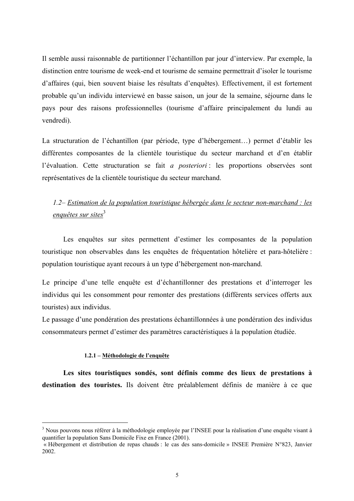Il semble aussi raisonnable de partitionner l'échantillon par jour d'interview. Par exemple, la distinction entre tourisme de week-end et tourisme de semaine permettrait d'isoler le tourisme d'affaires (qui, bien souvent biaise les résultats d'enquêtes). Effectivement, il est fortement probable qu'un individu interviewé en basse saison, un jour de la semaine, séjourne dans le pays pour des raisons professionnelles (tourisme d'affaire principalement du lundi au vendredi).

La structuration de l'échantillon (par période, type d'hébergement...) permet d'établir les différentes composantes de la clientèle touristique du secteur marchand et d'en établir l'évaluation. Cette structuration se fait a posteriori : les proportions observées sont représentatives de la clientèle touristique du secteur marchand.

# 1.2– Estimation de la population touristique hébergée dans le secteur non-marchand : les enquêtes sur sites<sup>3</sup>

Les enquêtes sur sites permettent d'estimer les composantes de la population touristique non observables dans les enquêtes de fréquentation hôtelière et para-hôtelière : population touristique ayant recours à un type d'hébergement non-marchand.

Le principe d'une telle enquête est d'échantillonner des prestations et d'interroger les individus qui les consomment pour remonter des prestations (différents services offerts aux touristes) aux individus.

Le passage d'une pondération des prestations échantillonnées à une pondération des individus consommateurs permet d'estimer des paramètres caractéristiques à la population étudiée.

#### 1.2.1 – Méthodologie de l'enquête

Les sites touristiques sondés, sont définis comme des lieux de prestations à destination des touristes. Ils doivent être préalablement définis de manière à ce que

<sup>&</sup>lt;sup>3</sup> Nous pouvons nous référer à la méthodologie employée par l'INSEE pour la réalisation d'une enquête visant à quantifier la population Sans Domicile Fixe en France (2001).

<sup>«</sup> Hébergement et distribution de repas chauds : le cas des sans-domicile » INSEE Première N°823, Janvier 2002.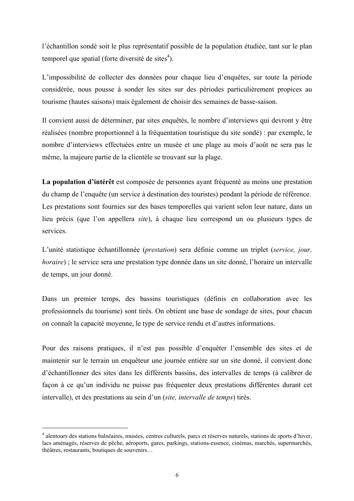l'échantillon sondé soit le plus représentatif possible de la population étudiée, tant sur le plan temporel que spatial (forte diversité de sites<sup>4</sup>).

L'impossibilité de collecter des données pour chaque lieu d'enquêtes, sur toute la période considérée, nous pousse à sonder les sites sur des périodes particulièrement propices au tourisme (hautes saisons) mais également de choisir des semaines de basse-saison.

Il convient aussi de déterminer, par sites enquêtés, le nombre d'interviews qui devront y être réalisées (nombre proportionnel à la fréquentation touristique du site sondé) : par exemple, le nombre d'interviews effectuées entre un musée et une plage au mois d'août ne sera pas le même, la majeure partie de la clientèle se trouvant sur la plage.

La population d'intérêt est composée de personnes avant fréquenté au moins une prestation du champ de l'enquête (un service à destination des touristes) pendant la période de référence. Les prestations sont fournies sur des bases temporelles qui varient selon leur nature, dans un lieu précis (que l'on appellera *site*), à chaque lieu correspond un ou plusieurs types de services

L'unité statistique échantillonnée (prestation) sera définie comme un triplet (service, jour, *horaire*); le service sera une prestation type donnée dans un site donné, l'horaire un intervalle de temps, un jour donné.

Dans un premier temps, des bassins touristiques (définis en collaboration avec les professionnels du tourisme) sont tirés. On obtient une base de sondage de sites, pour chacun on connaît la capacité moyenne, le type de service rendu et d'autres informations.

Pour des raisons pratiques, il n'est pas possible d'enquêter l'ensemble des sites et de maintenir sur le terrain un enquêteur une journée entière sur un site donné, il convient donc d'échantillonner des sites dans les différents bassins, des intervalles de temps (à calibrer de façon à ce qu'un individu ne puisse pas fréquenter deux prestations différentes durant cet intervalle), et des prestations au sein d'un (site, *intervalle de temps*) tirés.

<sup>&</sup>lt;sup>4</sup> alentours des stations balnéaires, musées, centres culturels, parcs et réserves naturels, stations de sports d'hiver, lacs aménagés, réserves de pêche, aéroports, gares, parkings, stations-essence, cinémas, marchés, supermarchés, théâtres, restaurants, boutiques de souvenirs...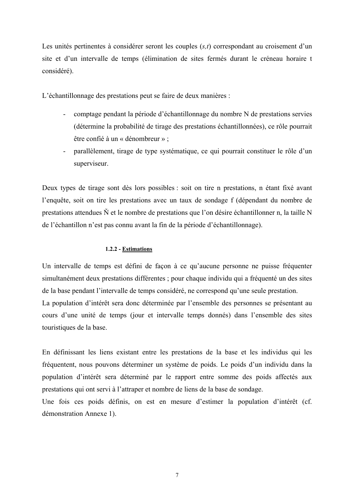Les unités pertinentes à considérer seront les couples  $(s,t)$  correspondant au croisement d'un site et d'un intervalle de temps (élimination de sites fermés durant le créneau horaire t considéré).

L'échantillonnage des prestations peut se faire de deux manières :

- comptage pendant la période d'échantillonnage du nombre N de prestations servies  $\omega_{\rm{max}}$ (détermine la probabilité de tirage des prestations échantillonnées), ce rôle pourrait être confié à un « dénombreur » ;
- parallèlement, tirage de type systématique, ce qui pourrait constituer le rôle d'un  $\omega_{\rm{eff}}$ superviseur.

Deux types de tirage sont dès lors possibles : soit on tire n prestations, n étant fixé avant l'enquête, soit on tire les prestations avec un taux de sondage f (dépendant du nombre de prestations attendues  $\tilde{N}$  et le nombre de prestations que l'on désire échantillonner n, la taille N de l'échantillon n'est pas connu avant la fin de la période d'échantillonnage).

#### 1.2.2 - Estimations

Un intervalle de temps est défini de façon à ce qu'aucune personne ne puisse fréquenter simultanément deux prestations différentes ; pour chaque individu qui a fréquenté un des sites de la base pendant l'intervalle de temps considéré, ne correspond qu'une seule prestation. La population d'intérêt sera donc déterminée par l'ensemble des personnes se présentant au cours d'une unité de temps (jour et intervalle temps donnés) dans l'ensemble des sites touristiques de la base.

En définissant les liens existant entre les prestations de la base et les individus qui les fréquentent, nous pouvons déterminer un système de poids. Le poids d'un individu dans la population d'intérêt sera déterminé par le rapport entre somme des poids affectés aux prestations qui ont servi à l'attraper et nombre de liens de la base de sondage.

Une fois ces poids définis, on est en mesure d'estimer la population d'intérêt (cf. démonstration Annexe 1).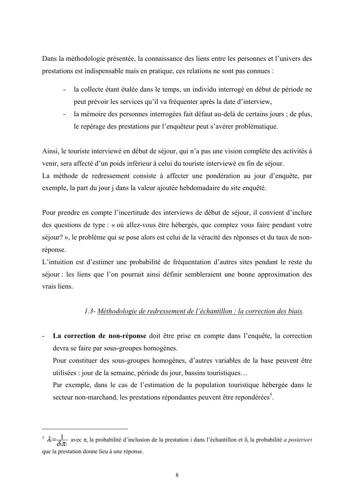Dans la méthodologie présentée, la connaissance des liens entre les personnes et l'univers des prestations est indispensable mais en pratique, ces relations ne sont pas connues :

- la collecte étant étalée dans le temps, un individu interrogé en début de période ne  $\Delta \phi$ peut prévoir les services qu'il va fréquenter après la date d'interview.
- $\Delta \sim 10^4$ la mémoire des personnes interrogées fait défaut au-delà de certains jours ; de plus, le repérage des prestations par l'enquêteur peut s'avérer problématique.

Ainsi, le touriste interviewé en début de séjour, qui n'a pas une vision complète des activités à venir, sera affecté d'un poids inférieur à celui du touriste interviewé en fin de séjour. La méthode de redressement consiste à affecter une pondération au jour d'enquête, par

exemple, la part du jour j dans la valeur ajoutée hebdomadaire du site enquêté.

Pour prendre en compte l'incertitude des interviews de début de séjour, il convient d'inclure des questions de type : « où allez-vous être hébergés, que comptez vous faire pendant votre séjour? », le problème qui se pose alors est celui de la véracité des réponses et du taux de nonréponse.

L'intuition est d'estimer une probabilité de fréquentation d'autres sites pendant le reste du séjour : les liens que l'on pourrait ainsi définir sembleraient une bonne approximation des vrais liens.

# 1.3- Méthodologie de redressement de l'échantillon : la correction des biais.

La correction de non-réponse doit être prise en compte dans l'enquête, la correction devra se faire par sous-groupes homogènes.

Pour constituer des sous-groupes homogènes, d'autres variables de la base peuvent être utilisées : jour de la semaine, période du jour, bassins touristiques...

Par exemple, dans le cas de l'estimation de la population touristique hébergée dans le secteur non-marchand, les prestations répondantes peuvent être repondérées<sup>5</sup>.

<sup>&</sup>lt;sup>5</sup>  $\lambda = \frac{1}{\delta \pi_i}$  avec  $\pi_i$  la probabilité d'inclusion de la prestation i dans l'échantillon et  $\delta_i$  la probabilité *a posteriori* que la prestation donne lieu à une réponse.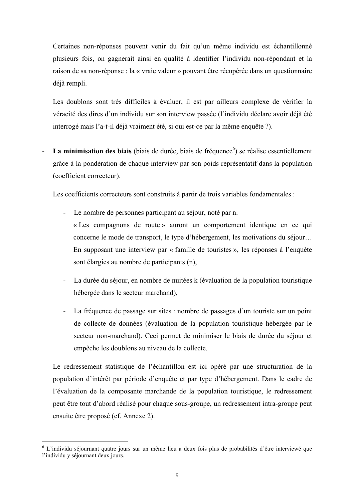Certaines non-réponses peuvent venir du fait qu'un même individu est échantillonné plusieurs fois, on gagnerait ainsi en qualité à identifier l'individu non-répondant et la raison de sa non-réponse : la « vraie valeur » pouvant être récupérée dans un questionnaire déjà rempli.

Les doublons sont très difficiles à évaluer, il est par ailleurs complexe de vérifier la véracité des dires d'un individu sur son interview passée (l'individu déclare avoir déjà été interrogé mais l'a-t-il déjà vraiment été, si oui est-ce par la même enquête ?).

La minimisation des biais (biais de durée, biais de fréquence<sup>6</sup>) se réalise essentiellement grâce à la pondération de chaque interview par son poids représentatif dans la population (coefficient correcteur).

Les coefficients correcteurs sont construits à partir de trois variables fondamentales :

- Le nombre de personnes participant au séjour, noté par n. « Les compagnons de route » auront un comportement identique en ce qui concerne le mode de transport, le type d'hébergement, les motivations du séjour... En supposant une interview par « famille de touristes », les réponses à l'enquête sont élargies au nombre de participants (n),
- La durée du séjour, en nombre de nuitées k (évaluation de la population touristique hébergée dans le secteur marchand),
- La fréquence de passage sur sites : nombre de passages d'un touriste sur un point  $\omega_{\rm{eff}}$ de collecte de données (évaluation de la population touristique hébergée par le secteur non-marchand). Ceci permet de minimiser le biais de durée du séjour et empêche les doublons au niveau de la collecte.

Le redressement statistique de l'échantillon est ici opéré par une structuration de la population d'intérêt par période d'enquête et par type d'hébergement. Dans le cadre de l'évaluation de la composante marchande de la population touristique, le redressement peut être tout d'abord réalisé pour chaque sous-groupe, un redressement intra-groupe peut ensuite être proposé (cf. Annexe 2).

<sup>&</sup>lt;sup>6</sup> L'individu séjournant quatre jours sur un même lieu a deux fois plus de probabilités d'être interviewé que l'individu y séjournant deux jours.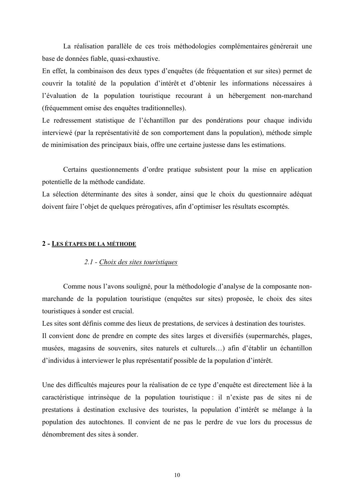La réalisation parallèle de ces trois méthodologies complémentaires générerait une base de données fiable, quasi-exhaustive.

En effet, la combinaison des deux types d'enquêtes (de fréquentation et sur sites) permet de couvrir la totalité de la population d'intérêt et d'obtenir les informations nécessaires à l'évaluation de la population touristique recourant à un hébergement non-marchand (fréquemment omise des enquêtes traditionnelles).

Le redressement statistique de l'échantillon par des pondérations pour chaque individu interviewé (par la représentativité de son comportement dans la population), méthode simple de minimisation des principaux biais, offre une certaine justesse dans les estimations.

Certains questionnements d'ordre pratique subsistent pour la mise en application potentielle de la méthode candidate.

La sélection déterminante des sites à sonder, ainsi que le choix du questionnaire adéquat doivent faire l'objet de quelques prérogatives, afin d'optimiser les résultats escomptés.

#### 2 - LES ÉTAPES DE LA MÉTHODE

#### 2.1 - Choix des sites touristiques

Comme nous l'avons souligné, pour la méthodologie d'analyse de la composante nonmarchande de la population touristique (enquêtes sur sites) proposée, le choix des sites touristiques à sonder est crucial.

Les sites sont définis comme des lieux de prestations, de services à destination des touristes. Il convient donc de prendre en compte des sites larges et diversifiés (supermarchés, plages, musées, magasins de souvenirs, sites naturels et culturels...) afin d'établir un échantillon d'individus à interviewer le plus représentatif possible de la population d'intérêt.

Une des difficultés majeures pour la réalisation de ce type d'enquête est directement liée à la caractéristique intrinsèque de la population touristique : il n'existe pas de sites ni de prestations à destination exclusive des touristes, la population d'intérêt se mélange à la population des autochtones. Il convient de ne pas le perdre de vue lors du processus de dénombrement des sites à sonder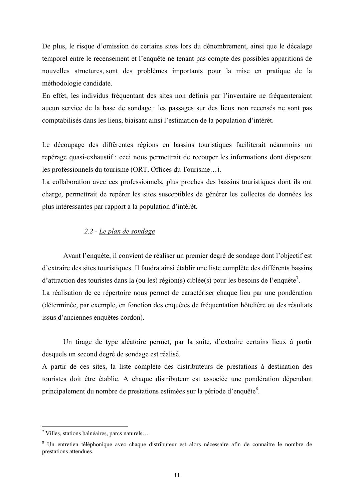De plus, le risque d'omission de certains sites lors du dénombrement, ainsi que le décalage temporel entre le recensement et l'enquête ne tenant pas compte des possibles apparitions de nouvelles structures sont des problèmes importants pour la mise en pratique de la méthodologie candidate.

En effet, les individus fréquentant des sites non définis par l'inventaire ne fréquenteraient aucun service de la base de sondage : les passages sur des lieux non recensés ne sont pas comptabilisés dans les liens, biaisant ainsi l'estimation de la population d'intérêt.

Le découpage des différentes régions en bassins touristiques faciliterait néanmoins un repérage quasi-exhaustif : ceci nous permettrait de recouper les informations dont disposent les professionnels du tourisme (ORT, Offices du Tourisme...).

La collaboration avec ces professionnels, plus proches des bassins touristiques dont ils ont charge, permettrait de repérer les sites susceptibles de générer les collectes de données les plus intéressantes par rapport à la population d'intérêt.

### 2.2 - Le plan de sondage

Avant l'enquête, il convient de réaliser un premier degré de sondage dont l'objectif est d'extraire des sites touristiques. Il faudra ainsi établir une liste complète des différents bassins d'attraction des touristes dans la (ou les) région(s) ciblée(s) pour les besoins de l'enquête'. La réalisation de ce répertoire nous permet de caractériser chaque lieu par une pondération (déterminée, par exemple, en fonction des enquêtes de fréquentation hôtelière ou des résultats issus d'anciennes enquêtes cordon).

Un tirage de type aléatoire permet, par la suite, d'extraire certains lieux à partir desquels un second degré de sondage est réalisé.

A partir de ces sites, la liste complète des distributeurs de prestations à destination des touristes doit être établie. A chaque distributeur est associée une pondération dépendant principalement du nombre de prestations estimées sur la période d'enquête<sup>8</sup>.

 $\frac{7}{7}$  Villes, stations balnéaires, parcs naturels...

<sup>&</sup>lt;sup>8</sup> Un entretien téléphonique avec chaque distributeur est alors nécessaire afin de connaître le nombre de prestations attendues.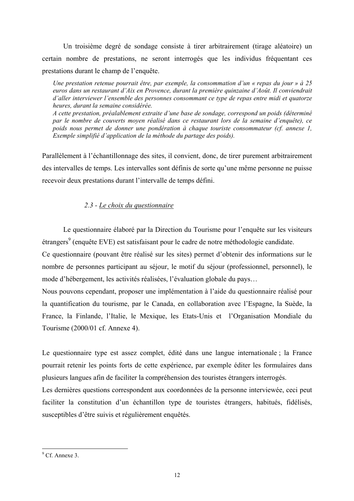Un troisième degré de sondage consiste à tirer arbitrairement (tirage aléatoire) un certain nombre de prestations, ne seront interrogés que les individus fréquentant ces prestations durant le champ de l'enquête.

Une prestation retenue pourrait être, par exemple, la consommation d'un « repas du jour » à 25 euros dans un restaurant d'Aix en Provence, durant la première quinzaine d'Août. Il conviendrait d'aller interviewer l'ensemble des personnes consommant ce type de repas entre midi et quatorze heures, durant la semaine considérée.

A cette prestation, préalablement extraite d'une base de sondage, correspond un poids (déterminé par le nombre de couverts moyen réalisé dans ce restaurant lors de la semaine d'enquête), ce poids nous permet de donner une pondération à chaque touriste consommateur (cf. annexe 1, Exemple simplifié d'application de la méthode du partage des poids).

Parallèlement à l'échantillonnage des sites, il convient, donc, de tirer purement arbitrairement des intervalles de temps. Les intervalles sont définis de sorte qu'une même personne ne puisse recevoir deux prestations durant l'intervalle de temps défini.

# 2.3 - Le choix du questionnaire

Le questionnaire élaboré par la Direction du Tourisme pour l'enquête sur les visiteurs étrangers<sup>9</sup> (enquête EVE) est satisfaisant pour le cadre de notre méthodologie candidate.

Ce questionnaire (pouvant être réalisé sur les sites) permet d'obtenir des informations sur le nombre de personnes participant au séjour, le motif du séjour (professionnel, personnel), le mode d'hébergement, les activités réalisées, l'évaluation globale du pays...

Nous pouvons cependant, proposer une implémentation à l'aide du questionnaire réalisé pour la quantification du tourisme, par le Canada, en collaboration avec l'Espagne, la Suède, la France, la Finlande, l'Italie, le Mexique, les Etats-Unis et l'Organisation Mondiale du Tourisme (2000/01 cf. Annexe 4).

Le questionnaire type est assez complet, édité dans une langue internationale; la France pourrait retenir les points forts de cette expérience, par exemple éditer les formulaires dans plusieurs langues afin de faciliter la compréhension des touristes étrangers interrogés.

Les dernières questions correspondent aux coordonnées de la personne interviewée, ceci peut faciliter la constitution d'un échantillon type de touristes étrangers, habitués, fidélisés, susceptibles d'être suivis et régulièrement enquêtés.

 $9$  Cf Annexe 3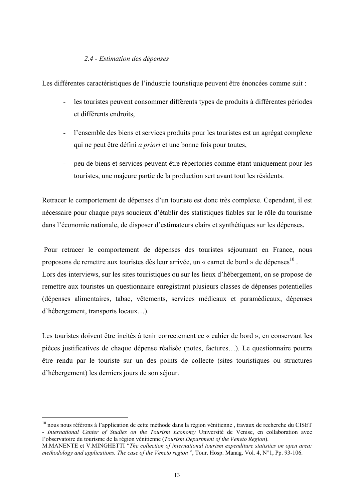### 2.4 - Estimation des dépenses

Les différentes caractéristiques de l'industrie touristique peuvent être énoncées comme suit :

- les touristes peuvent consommer différents types de produits à différentes périodes et différents endroits,
- l'ensemble des biens et services produits pour les touristes est un agrégat complexe qui ne peut être défini *a priori* et une bonne fois pour toutes,
- peu de biens et services peuvent être répertoriés comme étant uniquement pour les  $\omega_{\rm{max}}$ touristes, une majeure partie de la production sert avant tout les résidents.

Retracer le comportement de dépenses d'un touriste est donc très complexe. Cependant, il est nécessaire pour chaque pays soucieux d'établir des statistiques fiables sur le rôle du tourisme dans l'économie nationale, de disposer d'estimateurs clairs et synthétiques sur les dépenses.

Pour retracer le comportement de dépenses des touristes séjournant en France, nous proposons de remettre aux touristes dès leur arrivée, un « carnet de bord » de dépenses<sup>10</sup>. Lors des interviews, sur les sites touristiques ou sur les lieux d'hébergement, on se propose de remettre aux touristes un questionnaire enregistrant plusieurs classes de dépenses potentielles (dépenses alimentaires, tabac, vêtements, services médicaux et paramédicaux, dépenses d'hébergement, transports locaux...).

Les touristes doivent être incités à tenir correctement ce « cahier de bord », en conservant les pièces justificatives de chaque dépense réalisée (notes, factures...). Le questionnaire pourra être rendu par le touriste sur un des points de collecte (sites touristiques ou structures d'hébergement) les derniers jours de son séjour.

 $10$  nous nous référons à l'application de cette méthode dans la région vénitienne, travaux de recherche du CISET - International Center of Studies on the Tourism Economy Université de Venise, en collaboration avec l'observatoire du tourisme de la région vénitienne (Tourism Department of the Veneto Region).

M.MANENTE et V.MINGHETTI "The collection of international tourism expenditure statistics on open area: methodology and applications. The case of the Veneto region", Tour. Hosp. Manag, Vol. 4,  $N^{\circ}1$ , Pp. 93-106.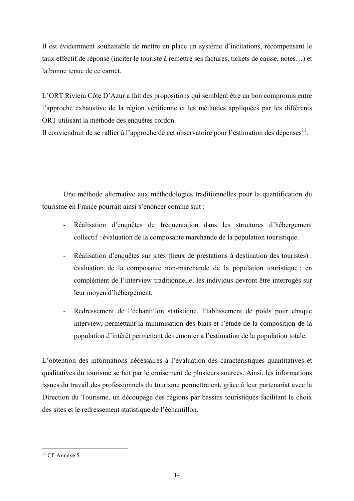Il est évidemment souhaitable de mettre en place un système d'incitations, récompensant le taux effectif de réponse (inciter le touriste à remettre ses factures, tickets de caisse, notes...) et la bonne tenue de ce carnet

L'ORT Riviera Côte D'Azur a fait des propositions qui semblent être un bon compromis entre l'approche exhaustive de la région vénitienne et les méthodes appliquées par les différents ORT utilisant la méthode des enquêtes cordon.

Il conviendrait de se rallier à l'approche de cet observatoire pour l'estimation des dépenses<sup>11</sup>.

Une méthode alternative aux méthodologies traditionnelles pour la quantification du tourisme en France pourrait ainsi s'énoncer comme suit :

- Réalisation d'enquêtes de fréquentation dans les structures d'hébergement  $\omega_{\rm{max}}$ collectif : évaluation de la composante marchande de la population touristique.
- Réalisation d'enquêtes sur sites (lieux de prestations à destination des touristes): évaluation de la composante non-marchande de la population touristique; en complément de l'interview traditionnelle, les individus devront être interrogés sur leur moyen d'hébergement.
- Redressement de l'échantillon statistique. Etablissement de poids pour chaque  $\omega_{\rm{eff}}$ interview, permettant la minimisation des biais et l'étude de la composition de la population d'intérêt permettant de remonter à l'estimation de la population totale.

L'obtention des informations nécessaires à l'évaluation des caractéristiques quantitatives et qualitatives du tourisme se fait par le croisement de plusieurs sources. Ainsi, les informations issues du travail des professionnels du tourisme permettraient, grâce à leur partenariat avec la Direction du Tourisme, un découpage des régions par bassins touristiques facilitant le choix des sites et le redressement statistique de l'échantillon.

 $^{11}$  Cf. Annexe 5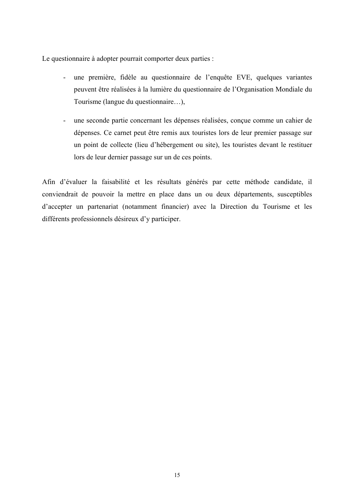Le questionnaire à adopter pourrait comporter deux parties :

- une première, fidèle au questionnaire de l'enquête EVE, quelques variantes  $\Delta \sim 10^4$ peuvent être réalisées à la lumière du questionnaire de l'Organisation Mondiale du Tourisme (langue du questionnaire...),
- une seconde partie concernant les dépenses réalisées, conçue comme un cahier de dépenses. Ce carnet peut être remis aux touristes lors de leur premier passage sur un point de collecte (lieu d'hébergement ou site), les touristes devant le restituer lors de leur dernier passage sur un de ces points.

Afin d'évaluer la faisabilité et les résultats générés par cette méthode candidate, il conviendrait de pouvoir la mettre en place dans un ou deux départements, susceptibles d'accepter un partenariat (notamment financier) avec la Direction du Tourisme et les différents professionnels désireux d'y participer.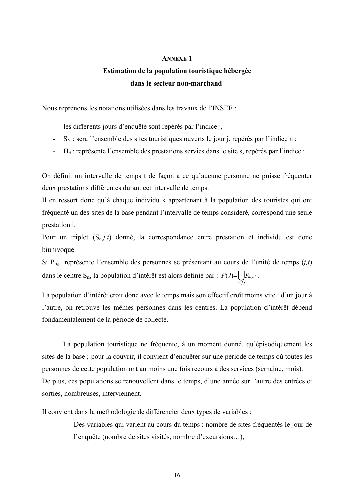#### **ANNEXE 1**

# Estimation de la population touristique hébergée dans le secteur non-marchand

Nous reprenons les notations utilisées dans les travaux de l'INSEE :

- les différents jours d'enquête sont repérés par l'indice j,
- $S_N$ : sera l'ensemble des sites touristiques ouverts le jour j, repérés par l'indice n;
- $\Pi_s$ : représente l'ensemble des prestations servies dans le site s, repérés par l'indice i.

On définit un intervalle de temps t de façon à ce qu'aucune personne ne puisse fréquenter deux prestations différentes durant cet intervalle de temps.

Il en ressort donc qu'à chaque individu k appartenant à la population des touristes qui ont fréquenté un des sites de la base pendant l'intervalle de temps considéré, correspond une seule prestation *i*.

Pour un triplet  $(S_n, j, t)$  donné, la correspondance entre prestation et individu est donc biunivoque.

Si  $P_{n,i,t}$  représente l'ensemble des personnes se présentant au cours de l'unité de temps  $(j,t)$ dans le centre S<sub>n</sub>, la population d'intérêt est alors définie par :  $P(J) = \bigcup_{n} P_{n,j,t}$ .

La population d'intérêt croit donc avec le temps mais son effectif croît moins vite : d'un jour à l'autre, on retrouve les mêmes personnes dans les centres. La population d'intérêt dépend fondamentalement de la période de collecte.

La population touristique ne fréquente, à un moment donné, qu'épisodiquement les sites de la base; pour la couvrir, il convient d'enquêter sur une période de temps où toutes les personnes de cette population ont au moins une fois recours à des services (semaine, mois). De plus, ces populations se renouvellent dans le temps, d'une année sur l'autre des entrées et sorties, nombreuses, interviennent.

Il convient dans la méthodologie de différencier deux types de variables :

Des variables qui varient au cours du temps : nombre de sites fréquentés le jour de l'enquête (nombre de sites visités, nombre d'excursions...),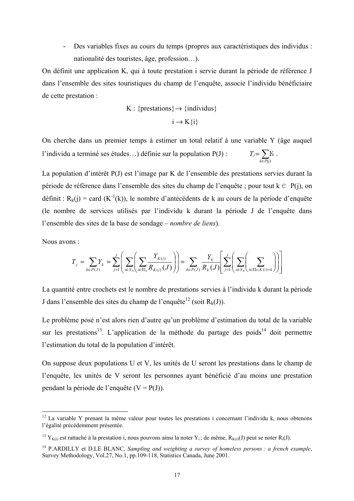Des variables fixes au cours du temps (propres aux caractéristiques des individus : nationalité des touristes, âge, profession...).

On définit une application K, qui à toute prestation i servie durant la période de référence J dans l'ensemble des sites touristiques du champ de l'enquête, associe l'individu bénéficiaire de cette prestation :

$$
K: \{prestations\} \rightarrow \{individuals\}
$$

$$
i \rightarrow K\{i\}
$$

On cherche dans un premier temps à estimer un total relatif à une variable Y (âge auquel  $T_j = \sum_{k \in P(j)} Y_k$ . l'individu a terminé ses études...) définie sur la population  $P(J)$ :

La population d'intérêt P(J) est l'image par K de l'ensemble des prestations servies durant la période de référence dans l'ensemble des sites du champ de l'enquête ; pour tout  $k \in P(i)$ , on définit :  $R_k(i)$  = card (K<sup>-1</sup>(k)), le nombre d'antécédents de k au cours de la période d'enquête (le nombre de services utilisés par l'individu k durant la période J de l'enquête dans l'ensemble des sites de la base de sondage – *nombre de liens*).

Nous avons:

$$
T_j = \sum_{k \in P(J)} Y_k = \sum_{j=1}^J \left( \sum_{s \in S_N} \left( \sum_{i \in \Pi_s} \frac{Y_{K(i)}}{R_{K(i)}(J)} \right) \right) = \sum_{k \in P(J)} \frac{Y_k}{R_k(J)} \left[ \sum_{j=1}^J \left( \sum_{s \in S_N} \left( \sum_{i \in \Pi_s; K(i) = k} \right) \right) \right]
$$

La quantité entre crochets est le nombre de prestations servies à l'individu k durant la période J dans l'ensemble des sites du champ de l'enquête<sup>12</sup> (soit R<sub>k</sub>(J)).

Le problème posé n'est alors rien d'autre qu'un problème d'estimation du total de la variable sur les prestations<sup>13</sup>. L'application de la méthode du partage des poids<sup>14</sup> doit permettre l'estimation du total de la population d'intérêt.

On suppose deux populations U et V, les unités de U seront les prestations dans le champ de l'enquête, les unités de V seront les personnes avant bénéficié d'au moins une prestation pendant la période de l'enquête  $(V = P(J))$ .

<sup>&</sup>lt;sup>12</sup> La variable Y prenant la même valeur pour toutes les prestations i concernant l'individu k, nous obtenons l'égalité précédemment présentée.

<sup>&</sup>lt;sup>13</sup> Y<sub>K(i)</sub> est rattaché à la prestation i, nous pouvons ainsi la noter Y<sub>i</sub>; de même, R<sub>K(i)</sub>(J) peut se noter R<sub>i</sub>(J).

<sup>&</sup>lt;sup>14</sup> P.ARDILLY et D.LE BLANC, Sampling and weighting a survey of homeless persons : a french example, Survey Methodology, Vol.27, No.1, pp.109-118, Statistics Canada, June 2001.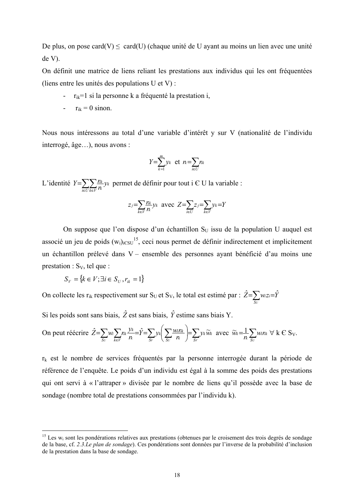De plus, on pose card(V)  $\leq$  card(U) (chaque unité de U ayant au moins un lien avec une unité  $de V$ ).

On définit une matrice de liens reliant les prestations aux individus qui les ont fréquentées (liens entre les unités des populations U et V) :

- $r_{ik}$ =1 si la personne k a fréquenté la prestation i,
- $r_{ik} = 0$  sinon.

Nous nous intéressons au total d'une variable d'intérêt y sur V (nationalité de l'individu interrogé, âge...), nous avons :

$$
Y = \sum_{k=1}^{m} y_k \text{ et } n = \sum_{i \in U} n_k
$$

L'identité  $Y = \sum_{i \in U} \sum_{k \in V} \frac{f_{ik}}{f_k} y_k$  permet de définir pour tout i  $\in U$  la variable :

$$
z_j = \sum_{k \in V} \frac{r_k}{n} y_k
$$
 avec  $Z = \sum_{i \in U} z_j = \sum_{k \in V} y_k = Y$ 

On suppose que l'on dispose d'un échantillon S<sub>U</sub> issu de la population U auquel est associé un jeu de poids  $(w_i)_{i \in SU}^{15}$ , ceci nous permet de définir indirectement et implicitement un échantillon prélevé dans V – ensemble des personnes ayant bénéficié d'au moins une prestation :  $S_v$ , tel que :

$$
S_V = \{k \in V; \exists i \in S_U, r_{ik} = 1\}
$$

On collecte les r<sub>ik</sub> respectivement sur S<sub>U</sub> et S<sub>V</sub>, le total est estimé par :  $\hat{Z} = \sum_{n} w_{zi} = \hat{Y}$ 

Si les poids sont sans biais,  $\hat{Z}$  est sans biais,  $\hat{Y}$  estime sans biais Y.

On peut réécrine 
$$
\hat{Z} = \sum_{S_U} w_i \sum_{k \in V} n_k \frac{y_k}{n} = \hat{Y} = \sum_{S_V} y_k \left( \sum_{S_U} \frac{w_i n_k}{n} \right) = \sum_{S_V} y_k \widetilde{w}_k
$$
 avec  $\widetilde{w}_k = \frac{1}{n} \sum_{S_U} w_i n_k \forall k \in S_V$ .

 $r_k$  est le nombre de services fréquentés par la personne interrogée durant la période de référence de l'enquête. Le poids d'un individu est égal à la somme des poids des prestations qui ont servi à « l'attraper » divisée par le nombre de liens qu'il possède avec la base de sondage (nombre total de prestations consommées par l'individu k).

<sup>&</sup>lt;sup>15</sup> Les w<sub>i</sub> sont les pondérations relatives aux prestations (obtenues par le croisement des trois degrés de sondage de la base, cf. 2.3. Le plan de sondage). Ces pondérations sont données par l'inverse de la probabilité d'inclusion de la prestation dans la base de sondage.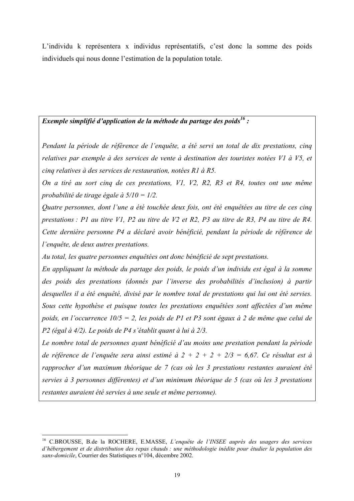L'individu k représentera x individus représentatifs, c'est donc la somme des poids individuels qui nous donne l'estimation de la population totale.

## Exemple simplifié d'application de la méthode du partage des poids<sup>16</sup>:

Pendant la période de référence de l'enquête, a été servi un total de dix prestations, cinq relatives par exemple à des services de vente à destination des touristes notées V1 à V5, et cinq relatives à des services de restauration, notées R1 à R5.

On a tiré au sort cinq de ces prestations, V1, V2, R2, R3 et R4, toutes ont une même probabilité de tirage égale à  $5/10 = 1/2$ .

Ouatre personnes, dont l'une a été touchée deux fois, ont été enquêtées au titre de ces cinq prestations : P1 au titre V1, P2 au titre de V2 et R2, P3 au titre de R3, P4 au titre de R4. Cette dernière personne P4 a déclaré avoir bénéficié, pendant la période de référence de l'enquête, de deux autres prestations.

Au total, les quatre personnes enquêtées ont donc bénéficié de sept prestations.

En appliquant la méthode du partage des poids, le poids d'un individu est égal à la somme des poids des prestations (donnés par l'inverse des probabilités d'inclusion) à partir desquelles il a été enquêté, divisé par le nombre total de prestations qui lui ont été servies. Sous cette hypothèse et puisque toutes les prestations enquêtées sont affectées d'un même poids, en l'occurrence  $10/5 = 2$ , les poids de P1 et P3 sont égaux à 2 de même que celui de P2 (égal à 4/2). Le poids de P4 s'établit quant à lui à 2/3.

Le nombre total de personnes ayant bénéficié d'au moins une prestation pendant la période de référence de l'enquête sera ainsi estimé à  $2 + 2 + 2 + 2/3 = 6,67$ . Ce résultat est à rapprocher d'un maximum théorique de 7 (cas où les 3 prestations restantes auraient été servies à 3 personnes différentes) et d'un minimum théorique de 5 (cas où les 3 prestations restantes auraient été servies à une seule et même personne).

<sup>&</sup>lt;sup>16</sup> C.BROUSSE, B.de la ROCHERE, E.MASSE, L'enquête de l'INSEE auprès des usagers des services d'hébergement et de distritibution des repas chauds : une méthodologie inédite pour étudier la population des sans-domicile. Courrier des Statistiques n°104, décembre 2002.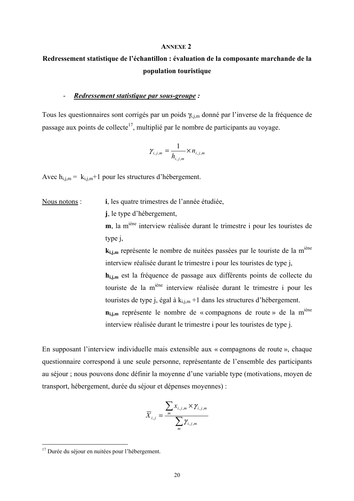#### **ANNEXE 2**

# Redressement statistique de l'échantillon : évaluation de la composante marchande de la population touristique

#### Redressement statistique par sous-groupe :  $\overline{a}$

Tous les questionnaires sont corrigés par un poids  $\gamma_{i,j,m}$  donné par l'inverse de la fréquence de passage aux points de collecte<sup>17</sup>, multiplié par le nombre de participants au voyage.

$$
\gamma_{i,j,m} = \frac{1}{h_{i,j,m}} \times n_{i,j,m}
$$

Avec  $h_{i,j,m} = k_{i,j,m}+1$  pour les structures d'hébergement.

#### i, les quatre trimestres de l'année étudiée, Nous notons:

j, le type d'hébergement,

m, la m<sup>iène</sup> interview réalisée durant le trimestre i pour les touristes de type *i*.

k<sub>i,j,m</sub> représente le nombre de nuitées passées par le touriste de la m<sup>iène</sup> interview réalisée durant le trimestre i pour les touristes de type j,  $h_{i,i,m}$  est la fréquence de passage aux différents points de collecte du touriste de la m<sup>iène</sup> interview réalisée durant le trimestre i pour les touristes de type j, égal à  $k_{i,i,m}$  +1 dans les structures d'hébergement. n<sub>i,j,m</sub> représente le nombre de « compagnons de route » de la m<sup>iène</sup> interview réalisée durant le trimestre i pour les touristes de type j.

En supposant l'interview individuelle mais extensible aux « compagnons de route », chaque questionnaire correspond à une seule personne, représentante de l'ensemble des participants au séjour ; nous pouvons donc définir la moyenne d'une variable type (motivations, moyen de transport, hébergement, durée du séjour et dépenses moyennes) :

$$
\overline{X}_{i,j} = \frac{\sum_{m} x_{i,j,m} \times \gamma_{i,j,m}}{\sum_{m} \gamma_{i,j,m}}
$$

<sup>&</sup>lt;sup>17</sup> Durée du séjour en nuitées pour l'hébergement.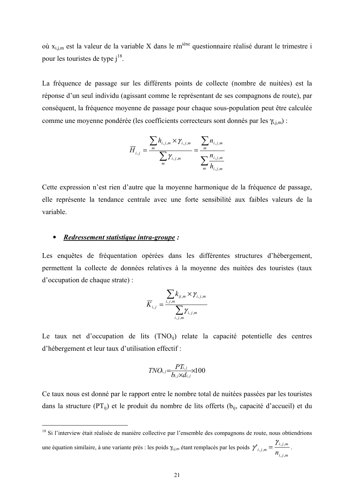où  $x_{i,j,m}$  est la valeur de la variable X dans le m<sup>iène</sup> questionnaire réalisé durant le trimestre i pour les touristes de type  $i^{18}$ .

La fréquence de passage sur les différents points de collecte (nombre de nuitées) est la réponse d'un seul individu (agissant comme le représentant de ses compagnons de route), par conséquent, la fréquence moyenne de passage pour chaque sous-population peut être calculée comme une moyenne pondérée (les coefficients correcteurs sont donnés par les  $\gamma_{i,j,m}$ ) :

$$
\overline{H}_{i,j} = \frac{\sum_{m} h_{i,j,m} \times \gamma_{i,j,m}}{\sum_{m} \gamma_{i,j,m}} = \frac{\sum_{m} n_{i,j,m}}{\sum_{m} \frac{n_{i,j,m}}{h_{i,j,m}}}
$$

Cette expression n'est rien d'autre que la moyenne harmonique de la fréquence de passage. elle représente la tendance centrale avec une forte sensibilité aux faibles valeurs de la variable.

#### Redressement statistique intra-groupe:  $\bullet$

Les enquêtes de fréquentation opérées dans les différentes structures d'hébergement, permettent la collecte de données relatives à la moyenne des nuitées des touristes (taux d'occupation de chaque strate):

$$
\overline{K}_{i,j} = \frac{\sum_{i,j,m} k_{ij,m} \times \gamma_{i,j,m}}{\sum_{i,j,m} \gamma_{i,j,m}}
$$

Le taux net d'occupation de lits (TNO<sub>ii</sub>) relate la capacité potentielle des centres d'hébergement et leur taux d'utilisation effectif :

$$
TNO_{i,j}=\frac{PT_{i,j}}{b_{i,j}\times d_{i,j}}\times 100
$$

Ce taux nous est donné par le rapport entre le nombre total de nuitées passées par les touristes dans la structure (PT<sub>ii</sub>) et le produit du nombre de lits offerts ( $b_{ii}$ , capacité d'accueil) et du

<sup>&</sup>lt;sup>18</sup> Si l'interview était réalisée de manière collective par l'ensemble des compagnons de route, nous obtiendrions une équation similaire, à une variante près : les poids  $\gamma_{i,j,m}$  étant remplacés par les poids  $\gamma'_{i,j,m} = \frac{\gamma_{i,j,m}}{n_{i,j,m}}$ .